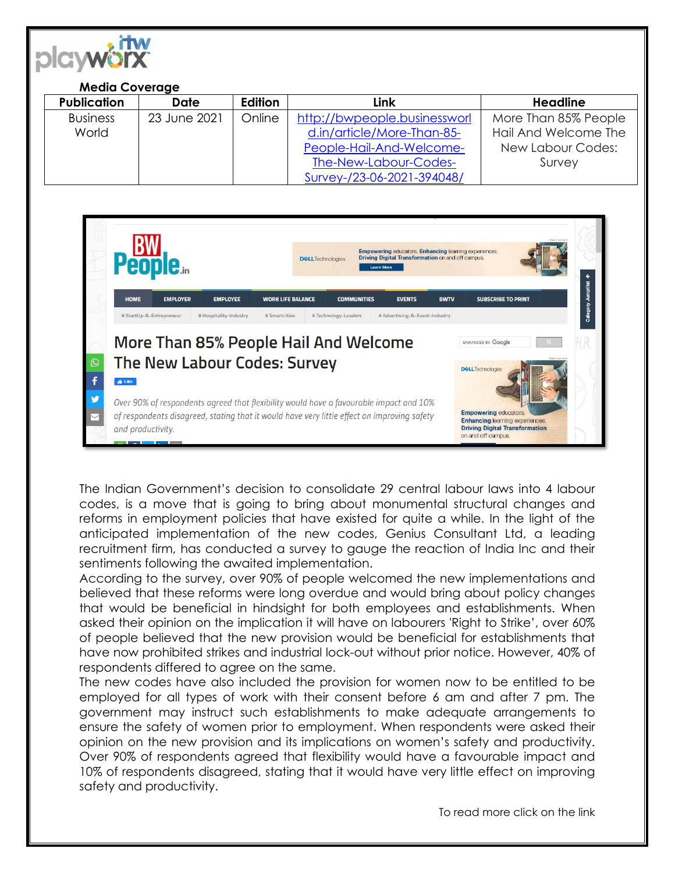

## **Media Coverage**

| <b>Publication</b> | Date         | Edition | Link                         | Headline             |
|--------------------|--------------|---------|------------------------------|----------------------|
| <b>Business</b>    | 23 June 2021 | Online  | http://bwpeople.businessworl | More Than 85% People |
| World              |              |         | d.in/article/More-Than-85-   | Hail And Welcome The |
|                    |              |         | People-Hail-And-Welcome-     | New Labour Codes:    |
|                    |              |         | The-New-Labour-Codes-        | Survey               |
|                    |              |         | Survey-/23-06-2021-394048/   |                      |



The Indian Government's decision to consolidate 29 central labour laws into 4 labour codes, is a move that is going to bring about monumental structural changes and reforms in employment policies that have existed for quite a while. In the light of the anticipated implementation of the new codes, Genius Consultant Ltd, a leading recruitment firm, has conducted a survey to gauge the reaction of India Inc and their sentiments following the awaited implementation.

According to the survey, over 90% of people welcomed the new implementations and believed that these reforms were long overdue and would bring about policy changes that would be beneficial in hindsight for both employees and establishments. When asked their opinion on the implication it will have on labourers 'Right to Strike', over 60% of people believed that the new provision would be beneficial for establishments that have now prohibited strikes and industrial lock-out without prior notice. However, 40% of respondents differed to agree on the same.

The new codes have also included the provision for women now to be entitled to be employed for all types of work with their consent before 6 am and after 7 pm. The government may instruct such establishments to make adequate arrangements to ensure the safety of women prior to employment. When respondents were asked their opinion on the new provision and its implications on women's safety and productivity. Over 90% of respondents agreed that flexibility would have a favourable impact and 10% of respondents disagreed, stating that it would have very little effect on improving safety and productivity.

To read more click on the link